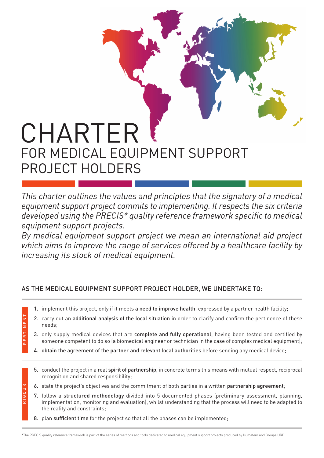## CHARTER FOR MEDICAL EQUIPMENT SUPPORT PROJECT HOLDERS

*This charter outlines the values and principles that the signatory of a medical equipment support project commits to implementing. It respects the six criteria developed using the PRECIS\* quality reference framework specific to medical equipment support projects.*

*By medical equipment support project we mean an international aid project which aims to improve the range of services offered by a healthcare facility by increasing its stock of medical equipment.*

## AS THE MEDICAL EQUIPMENT SUPPORT PROJECT HOLDER, WE UNDERTAKE TO:

- 1. implement this project, only if it meets a need to improve health, expressed by a partner health facility;
- 2. carry out an additional analysis of the local situation in order to clarify and confirm the pertinence of these needs;
- 3. only supply medical devices that are complete and fully operational, having been tested and certified by someone competent to do so (a biomedical engineer or technician in the case of complex medical equipment);
- 4. obtain the agreement of the partner and relevant local authorities before sending any medical device;
- 5. conduct the project in a real spirit of partnership, in concrete terms this means with mutual respect, reciprocal recognition and shared responsibility;
- 6. state the project's objectives and the commitment of both parties in a written partnership agreement;
- 7. follow a structured methodology divided into 5 documented phases (preliminary assessment, planning, implementation, monitoring and evaluation), whilst understanding that the process will need to be adapted to the reality and constraints;
- 8. plan sufficient time for the project so that all the phases can be implemented;

PERTINENT E R T I N E N T

 $\propto$ R I G O U R

GOU

\*The PRECIS quality reference framework is part of the series of methods and tools dedicated to medical equipment support projects produced by Humatem and Groupe URD.